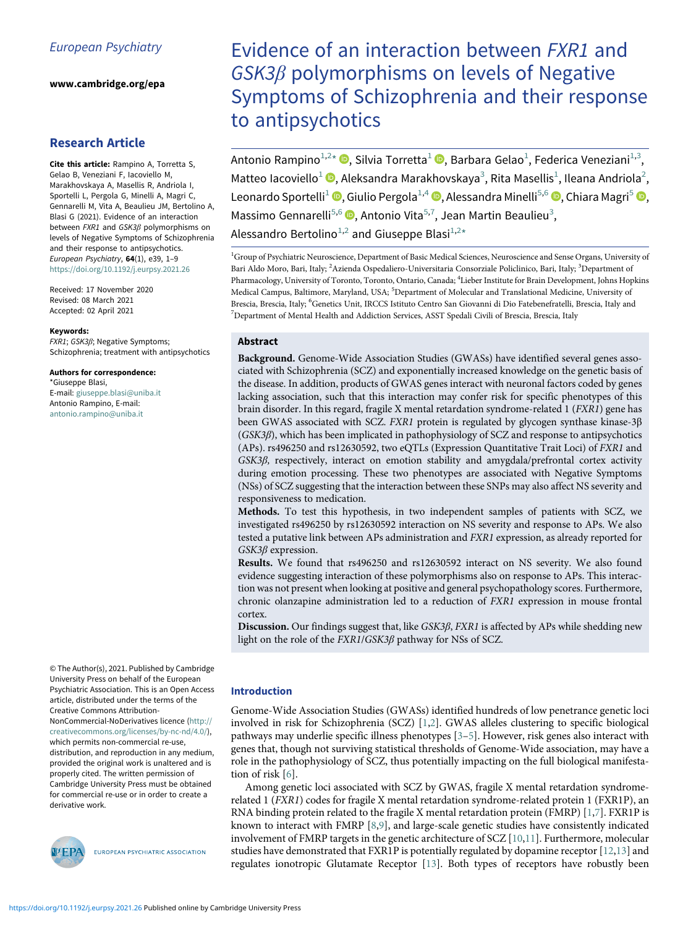www.cambridge.org/epa

## Research Article

Cite this article: Rampino A, Torretta S, Gelao B, Veneziani F, Iacoviello M, Marakhovskaya A, Masellis R, Andriola I, Sportelli L, Pergola G, Minelli A, Magri C, Gennarelli M, Vita A, Beaulieu JM, Bertolino A, Blasi G (2021). Evidence of an interaction between FXR1 and GSK3β polymorphisms on levels of Negative Symptoms of Schizophrenia and their response to antipsychotics. European Psychiatry, 64(1), e39, 1–9 <https://doi.org/10.1192/j.eurpsy.2021.26>

<span id="page-0-5"></span><span id="page-0-4"></span><span id="page-0-3"></span><span id="page-0-2"></span><span id="page-0-1"></span><span id="page-0-0"></span>Received: 17 November 2020 Revised: 08 March 2021 Accepted: 02 April 2021

#### Keywords:

FXR1; GSK3β; Negative Symptoms; Schizophrenia; treatment with antipsychotics

Authors for correspondence: \*Giuseppe Blasi, E-mail: [giuseppe.blasi@uniba.it](mailto:giuseppe.blasi@uniba.it)

Antonio Rampino, E-mail: [antonio.rampino@uniba.it](mailto:antonio.rampino@uniba.it)

© The Author(s), 2021. Published by Cambridge University Press on behalf of the European Psychiatric Association. This is an Open Access article, distributed under the terms of the Creative Commons Attribution-

NonCommercial-NoDerivatives licence [\(http://](http://creativecommons.org/licenses/by-nc-nd/4.0/) [creativecommons.org/licenses/by-nc-nd/4.0/](http://creativecommons.org/licenses/by-nc-nd/4.0/)), which permits non-commercial re-use, distribution, and reproduction in any medium, provided the original work is unaltered and is properly cited. The written permission of Cambridge University Press must be obtained for commercial re-use or in order to create a derivative work.



EUROPEAN PSYCHIATRIC ASSOCIATION

# Evidence of an interaction between FXR1 and  $GSK3\beta$  polymorphisms on levels of Negative Symptoms of Schizophrenia and their response to antipsychotics

Antonio Rampino $^{1,2}$  $^{1,2}$  $^{1,2}$  $^{1,2}$ [\\*](#page-0-2) (D[,](https://orcid.org/0000-0002-9654-3266) Silvia Torretta $^1$  (D, Barbara Gelao $^1$ , Federica Veneziani $^{1,3},$  $^{1,3},$  $^{1,3},$ Matteo Iacoviello<sup>[1](#page-0-0)</sup> <sup>®</sup>, Aleksandra Marakhovskaya<sup>[3](#page-0-1)</sup>, Rita Masellis<sup>1</sup>, Ileana Andriola<sup>[2](#page-0-1)</sup>, Leonardo Sportelli<sup>[1](#page-0-0)</sup> <sup>(D</sup>[,](https://orcid.org/0000-0002-9193-1841) Giulio Pergola<sup>1[,4](#page-0-3)</sup> <sup>(D</sup>, Alessandra Minelli<sup>[5,](#page-0-4)[6](#page-0-5)</sup> <sup>(D</sup>, Chiara Magri<sup>[5](#page-0-4)</sup> <sup>(D</sup>, Massimo Gennarelli<sup>[5](#page-0-4)[,6](#page-0-5)</sup> D[,](https://orcid.org/0000-0003-4192-945X) Antonio Vita<sup>5[,7](#page-0-5)</sup>, Jean Martin Beaulieu<sup>[3](#page-0-1)</sup>, Alessandro Bertolino<sup>[1,](#page-0-0)[2](#page-0-1)</sup> and Giuseppe Blasi<sup>[1](#page-0-0),2</sup>[\\*](#page-0-2)

<sup>1</sup>Group of Psychiatric Neuroscience, Department of Basic Medical Sciences, Neuroscience and Sense Organs, University of Bari Aldo Moro, Bari, Italy; <sup>2</sup>Azienda Ospedaliero-Universitaria Consorziale Policlinico, Bari, Italy; <sup>3</sup>Department of Pharmacology, University of Toronto, Toronto, Ontario, Canada; <sup>4</sup> Lieber Institute for Brain Development, Johns Hopkins Medical Campus, Baltimore, Maryland, USA; <sup>5</sup>Department of Molecular and Translational Medicine, University of Brescia, Brescia, Italy; <sup>6</sup>Genetics Unit, IRCCS Istituto Centro San Giovanni di Dio Fatebenefratelli, Brescia, Italy and <sup>7</sup>Department of Mental Health and Addiction Services, ASST Spedali Civili of Brescia, Brescia, Italy

## Abstract

Background. Genome-Wide Association Studies (GWASs) have identified several genes associated with Schizophrenia (SCZ) and exponentially increased knowledge on the genetic basis of the disease. In addition, products of GWAS genes interact with neuronal factors coded by genes lacking association, such that this interaction may confer risk for specific phenotypes of this brain disorder. In this regard, fragile X mental retardation syndrome-related 1 (FXR1) gene has been GWAS associated with SCZ. FXR1 protein is regulated by glycogen synthase kinase-3β (GSK3β), which has been implicated in pathophysiology of SCZ and response to antipsychotics (APs). rs496250 and rs12630592, two eQTLs (Expression Quantitative Trait Loci) of FXR1 and GSK3β, respectively, interact on emotion stability and amygdala/prefrontal cortex activity during emotion processing. These two phenotypes are associated with Negative Symptoms (NSs) of SCZ suggesting that the interaction between these SNPs may also affect NS severity and responsiveness to medication.

Methods. To test this hypothesis, in two independent samples of patients with SCZ, we investigated rs496250 by rs12630592 interaction on NS severity and response to APs. We also tested a putative link between APs administration and FXR1 expression, as already reported for GSK3β expression.

Results. We found that rs496250 and rs12630592 interact on NS severity. We also found evidence suggesting interaction of these polymorphisms also on response to APs. This interaction was not present when looking at positive and general psychopathology scores. Furthermore, chronic olanzapine administration led to a reduction of FXR1 expression in mouse frontal cortex.

Discussion. Our findings suggest that, like GSK3β, FXR1 is affected by APs while shedding new light on the role of the FXR1/GSK3β pathway for NSs of SCZ.

## Introduction

Genome-Wide Association Studies (GWASs) identified hundreds of low penetrance genetic loci involved in risk for Schizophrenia (SCZ) [[1](#page-6-0)[,2\]](#page-6-1). GWAS alleles clustering to specific biological pathways may underlie specific illness phenotypes [[3](#page-6-2)–[5\]](#page-6-3). However, risk genes also interact with genes that, though not surviving statistical thresholds of Genome-Wide association, may have a role in the pathophysiology of SCZ, thus potentially impacting on the full biological manifestation of risk [\[6\]](#page-6-4).

Among genetic loci associated with SCZ by GWAS, fragile X mental retardation syndromerelated 1 (FXR1) codes for fragile X mental retardation syndrome-related protein 1 (FXR1P), an RNA binding protein related to the fragile X mental retardation protein (FMRP)  $[1,7]$  $[1,7]$ . FXR1P is known to interact with FMRP [[8](#page-6-6)[,9\]](#page-6-7), and large-scale genetic studies have consistently indicated involvement of FMRP targets in the genetic architecture of SCZ [\[10](#page-6-8)[,11](#page-6-9)]. Furthermore, molecular studies have demonstrated that FXR1P is potentially regulated by dopamine receptor [\[12](#page-7-0)[,13](#page-7-1)] and regulates ionotropic Glutamate Receptor [[13\]](#page-7-1). Both types of receptors have robustly been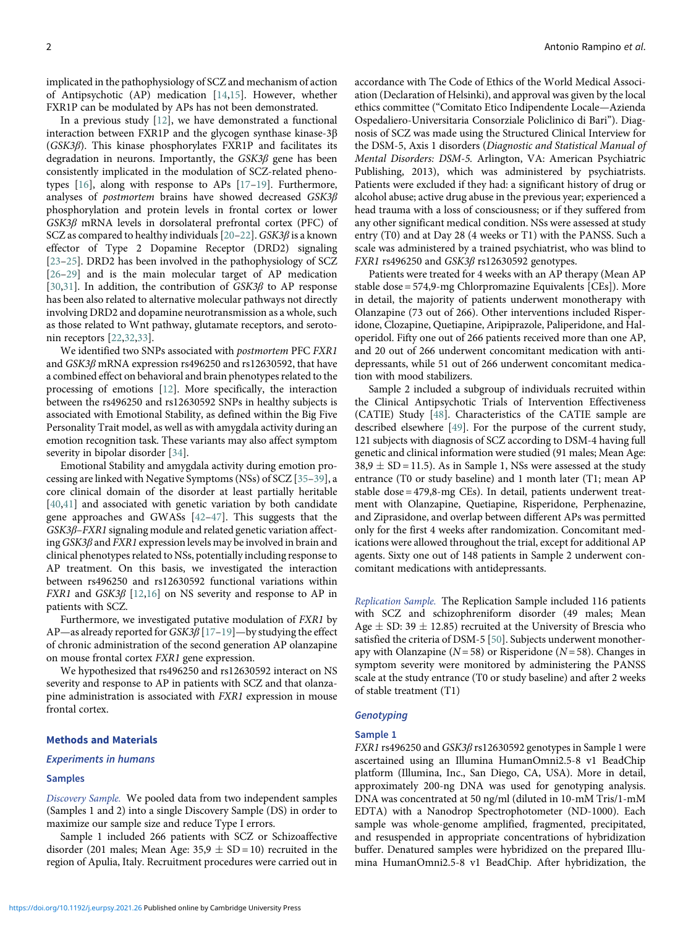implicated in the pathophysiology of SCZ and mechanism of action of Antipsychotic (AP) medication [[14,](#page-7-2)[15\]](#page-7-3). However, whether FXR1P can be modulated by APs has not been demonstrated.

In a previous study [\[12](#page-7-0)], we have demonstrated a functional interaction between FXR1P and the glycogen synthase kinase-3β (GSK3β). This kinase phosphorylates FXR1P and facilitates its degradation in neurons. Importantly, the  $GSK3\beta$  gene has been consistently implicated in the modulation of SCZ-related phenotypes [\[16](#page-7-4)], along with response to APs [\[17](#page-7-5)–[19](#page-7-6)]. Furthermore, analyses of postmortem brains have showed decreased GSK3β phosphorylation and protein levels in frontal cortex or lower GSK3β mRNA levels in dorsolateral prefrontal cortex (PFC) of SCZ as compared to healthy individuals  $[20-22]$  $[20-22]$  $[20-22]$  $[20-22]$ . GSK3 $\beta$  is a known effector of Type 2 Dopamine Receptor (DRD2) signaling [[23](#page-7-9)–[25\]](#page-7-10). DRD2 has been involved in the pathophysiology of SCZ [[26](#page-7-11)–[29\]](#page-7-12) and is the main molecular target of AP medication [[30](#page-7-13)[,31](#page-7-14)]. In addition, the contribution of  $GSK3\beta$  to AP response has been also related to alternative molecular pathways not directly involving DRD2 and dopamine neurotransmission as a whole, such as those related to Wnt pathway, glutamate receptors, and serotonin receptors [\[22](#page-7-8)[,32](#page-7-15),[33\]](#page-7-0).

We identified two SNPs associated with postmortem PFC FXR1 and GSK3β mRNA expression rs496250 and rs12630592, that have a combined effect on behavioral and brain phenotypes related to the processing of emotions [\[12](#page-7-0)]. More specifically, the interaction between the rs496250 and rs12630592 SNPs in healthy subjects is associated with Emotional Stability, as defined within the Big Five Personality Trait model, as well as with amygdala activity during an emotion recognition task. These variants may also affect symptom severity in bipolar disorder [\[34](#page-7-16)].

Emotional Stability and amygdala activity during emotion processing are linked with Negative Symptoms (NSs) of SCZ [[35](#page-7-2)–[39\]](#page-7-17), a core clinical domain of the disorder at least partially heritable [[40](#page-7-18)[,41](#page-7-19)] and associated with genetic variation by both candidate gene approaches and GWASs [[42](#page-7-20)–[47\]](#page-7-11). This suggests that the GSK3β–FXR1 signaling module and related genetic variation affecting  $GSK3\beta$  and  $FXR1$  expression levels may be involved in brain and clinical phenotypes related to NSs, potentially including response to AP treatment. On this basis, we investigated the interaction between rs496250 and rs12630592 functional variations within *FXR1* and  $GSK3\beta$  [\[12](#page-7-0)[,16](#page-7-4)] on NS severity and response to AP in patients with SCZ.

Furthermore, we investigated putative modulation of FXR1 by AP—as already reported for  $GSK3\beta$  [\[17](#page-7-5)–[19](#page-7-6)]—by studying the effect of chronic administration of the second generation AP olanzapine on mouse frontal cortex FXR1 gene expression.

We hypothesized that rs496250 and rs12630592 interact on NS severity and response to AP in patients with SCZ and that olanzapine administration is associated with FXR1 expression in mouse frontal cortex.

### Methods and Materials

#### Experiments in humans

#### Samples

Discovery Sample. We pooled data from two independent samples (Samples 1 and 2) into a single Discovery Sample (DS) in order to maximize our sample size and reduce Type I errors.

Sample 1 included 266 patients with SCZ or Schizoaffective disorder (201 males; Mean Age:  $35.9 \pm SD = 10$ ) recruited in the region of Apulia, Italy. Recruitment procedures were carried out in

<https://doi.org/10.1192/j.eurpsy.2021.26>Published online by Cambridge University Press

accordance with The Code of Ethics of the World Medical Association (Declaration of Helsinki), and approval was given by the local ethics committee ("Comitato Etico Indipendente Locale—Azienda Ospedaliero-Universitaria Consorziale Policlinico di Bari"). Diagnosis of SCZ was made using the Structured Clinical Interview for the DSM-5, Axis 1 disorders (Diagnostic and Statistical Manual of Mental Disorders: DSM-5. Arlington, VA: American Psychiatric Publishing, 2013), which was administered by psychiatrists. Patients were excluded if they had: a significant history of drug or alcohol abuse; active drug abuse in the previous year; experienced a head trauma with a loss of consciousness; or if they suffered from any other significant medical condition. NSs were assessed at study entry (T0) and at Day 28 (4 weeks or T1) with the PANSS. Such a scale was administered by a trained psychiatrist, who was blind to FXR1 rs496250 and GSK3β rs12630592 genotypes.

Patients were treated for 4 weeks with an AP therapy (Mean AP stable dose = 574,9-mg Chlorpromazine Equivalents [CEs]). More in detail, the majority of patients underwent monotherapy with Olanzapine (73 out of 266). Other interventions included Risperidone, Clozapine, Quetiapine, Aripiprazole, Paliperidone, and Haloperidol. Fifty one out of 266 patients received more than one AP, and 20 out of 266 underwent concomitant medication with antidepressants, while 51 out of 266 underwent concomitant medication with mood stabilizers.

Sample 2 included a subgroup of individuals recruited within the Clinical Antipsychotic Trials of Intervention Effectiveness (CATIE) Study [\[48](#page-7-21)]. Characteristics of the CATIE sample are described elsewhere [[49\]](#page-7-22). For the purpose of the current study, 121 subjects with diagnosis of SCZ according to DSM-4 having full genetic and clinical information were studied (91 males; Mean Age:  $38.9 \pm SD = 11.5$ ). As in Sample 1, NSs were assessed at the study entrance (T0 or study baseline) and 1 month later (T1; mean AP stable dose = 479,8-mg CEs). In detail, patients underwent treatment with Olanzapine, Quetiapine, Risperidone, Perphenazine, and Ziprasidone, and overlap between different APs was permitted only for the first 4 weeks after randomization. Concomitant medications were allowed throughout the trial, except for additional AP agents. Sixty one out of 148 patients in Sample 2 underwent concomitant medications with antidepressants.

Replication Sample. The Replication Sample included 116 patients with SCZ and schizophreniform disorder (49 males; Mean Age  $\pm$  SD: 39  $\pm$  12.85) recruited at the University of Brescia who satisfied the criteria of DSM-5 [\[50\]](#page-7-23). Subjects underwent monotherapy with Olanzapine ( $N = 58$ ) or Risperidone ( $N = 58$ ). Changes in symptom severity were monitored by administering the PANSS scale at the study entrance (T0 or study baseline) and after 2 weeks of stable treatment (T1)

## **Genotyping**

#### Sample 1

FXR1 rs496250 and GSK3β rs12630592 genotypes in Sample 1 were ascertained using an Illumina HumanOmni2.5-8 v1 BeadChip platform (Illumina, Inc., San Diego, CA, USA). More in detail, approximately 200-ng DNA was used for genotyping analysis. DNA was concentrated at 50 ng/ml (diluted in 10-mM Tris/1-mM EDTA) with a Nanodrop Spectrophotometer (ND-1000). Each sample was whole-genome amplified, fragmented, precipitated, and resuspended in appropriate concentrations of hybridization buffer. Denatured samples were hybridized on the prepared Illumina HumanOmni2.5-8 v1 BeadChip. After hybridization, the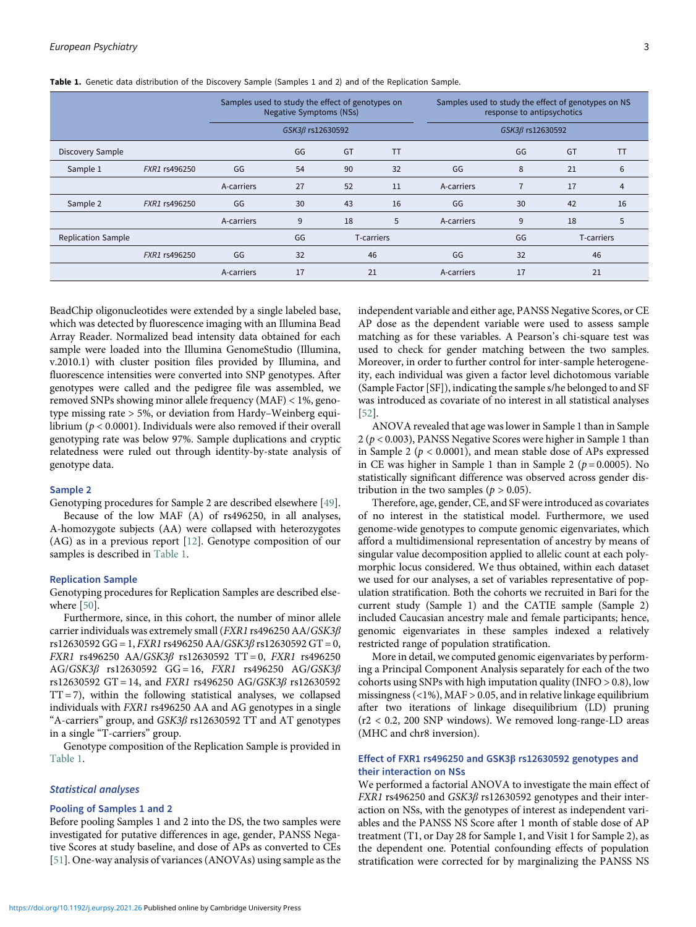|                           |               | Samples used to study the effect of genotypes on<br><b>Negative Symptoms (NSs)</b> |    |            |           | Samples used to study the effect of genotypes on NS<br>response to antipsychotics |    |            |           |
|---------------------------|---------------|------------------------------------------------------------------------------------|----|------------|-----------|-----------------------------------------------------------------------------------|----|------------|-----------|
|                           |               | GSK3ß rs12630592                                                                   |    |            |           | GSK3ß rs12630592                                                                  |    |            |           |
| Discovery Sample          |               |                                                                                    | GG | GT         | <b>TT</b> |                                                                                   | GG | GT         | <b>TT</b> |
| Sample 1                  | FXR1 rs496250 | GG                                                                                 | 54 | 90         | 32        | GG                                                                                | 8  | 21         | 6         |
|                           |               | A-carriers                                                                         | 27 | 52         | 11        | A-carriers                                                                        |    | 17         | 4         |
| Sample 2                  | FXR1 rs496250 | GG                                                                                 | 30 | 43         | 16        | GG                                                                                | 30 | 42         | 16        |
|                           |               | A-carriers                                                                         | 9  | 18         | 5         | A-carriers                                                                        | 9  | 18         | 5         |
| <b>Replication Sample</b> |               |                                                                                    | GG | T-carriers |           |                                                                                   | GG | T-carriers |           |
|                           | FXR1 rs496250 | GG                                                                                 | 32 | 46         |           | GG                                                                                | 32 | 46         |           |
|                           |               | A-carriers                                                                         | 17 | 21         |           | A-carriers                                                                        | 17 | 21         |           |

<span id="page-2-0"></span>Table 1. Genetic data distribution of the Discovery Sample (Samples 1 and 2) and of the Replication Sample.

BeadChip oligonucleotides were extended by a single labeled base, which was detected by fluorescence imaging with an Illumina Bead Array Reader. Normalized bead intensity data obtained for each sample were loaded into the Illumina GenomeStudio (Illumina, v.2010.1) with cluster position files provided by Illumina, and fluorescence intensities were converted into SNP genotypes. After genotypes were called and the pedigree file was assembled, we removed SNPs showing minor allele frequency (MAF) < 1%, genotype missing rate > 5%, or deviation from Hardy–Weinberg equilibrium ( $p < 0.0001$ ). Individuals were also removed if their overall genotyping rate was below 97%. Sample duplications and cryptic relatedness were ruled out through identity-by-state analysis of genotype data.

#### Sample 2

Genotyping procedures for Sample 2 are described elsewhere [\[49](#page-7-22)]. Because of the low MAF (A) of rs496250, in all analyses, A-homozygote subjects (AA) were collapsed with heterozygotes (AG) as in a previous report [[12\]](#page-7-0). Genotype composition of our samples is described in [Table 1.](#page-2-0)

#### Replication Sample

Genotyping procedures for Replication Samples are described elsewhere [[50](#page-7-23)].

Furthermore, since, in this cohort, the number of minor allele carrier individuals was extremely small (FXR1 rs496250 AA/GSK3β rs12630592 GG = 1, FXR1 rs496250 AA/GSK3 $\beta$  rs12630592 GT = 0, FXR1 rs496250 AA/GSK3β rs12630592 TT = 0, FXR1 rs496250  $AG/GSK3\beta$  rs12630592 GG = 16, FXR1 rs496250 AG/GSK3 $\beta$ rs12630592 GT = 14, and *FXR1* rs496250 AG/GSK3 $\beta$  rs12630592  $TT = 7$ ), within the following statistical analyses, we collapsed individuals with FXR1 rs496250 AA and AG genotypes in a single "A-carriers" group, and  $GSK3\beta$  rs12630592 TT and AT genotypes in a single "T-carriers" group.

Genotype composition of the Replication Sample is provided in [Table 1.](#page-2-0)

## Statistical analyses

## Pooling of Samples 1 and 2

Before pooling Samples 1 and 2 into the DS, the two samples were investigated for putative differences in age, gender, PANSS Negative Scores at study baseline, and dose of APs as converted to CEs [[51\]](#page-7-24). One-way analysis of variances (ANOVAs) using sample as the independent variable and either age, PANSS Negative Scores, or CE AP dose as the dependent variable were used to assess sample matching as for these variables. A Pearson's chi-square test was used to check for gender matching between the two samples. Moreover, in order to further control for inter-sample heterogeneity, each individual was given a factor level dichotomous variable (Sample Factor [SF]), indicating the sample s/he belonged to and SF was introduced as covariate of no interest in all statistical analyses [[52\]](#page-7-25).

ANOVA revealed that age was lower in Sample 1 than in Sample  $2 (p < 0.003)$ , PANSS Negative Scores were higher in Sample 1 than in Sample 2 ( $p < 0.0001$ ), and mean stable dose of APs expressed in CE was higher in Sample 1 than in Sample 2 ( $p = 0.0005$ ). No statistically significant difference was observed across gender distribution in the two samples ( $p > 0.05$ ).

Therefore, age, gender, CE, and SF were introduced as covariates of no interest in the statistical model. Furthermore, we used genome-wide genotypes to compute genomic eigenvariates, which afford a multidimensional representation of ancestry by means of singular value decomposition applied to allelic count at each polymorphic locus considered. We thus obtained, within each dataset we used for our analyses, a set of variables representative of population stratification. Both the cohorts we recruited in Bari for the current study (Sample 1) and the CATIE sample (Sample 2) included Caucasian ancestry male and female participants; hence, genomic eigenvariates in these samples indexed a relatively restricted range of population stratification.

More in detail, we computed genomic eigenvariates by performing a Principal Component Analysis separately for each of the two cohorts using SNPs with high imputation quality (INFO  $> 0.8$ ), low missingness  $\left\langle \langle 1\% \rangle, \mathrm{MAF} \rangle \right.$  0.05, and in relative linkage equilibrium after two iterations of linkage disequilibrium (LD) pruning (r2 < 0.2, 200 SNP windows). We removed long-range-LD areas (MHC and chr8 inversion).

## Effect of FXR1 rs496250 and GSK3β rs12630592 genotypes and their interaction on NSs

We performed a factorial ANOVA to investigate the main effect of FXR1 rs496250 and GSK3β rs12630592 genotypes and their interaction on NSs, with the genotypes of interest as independent variables and the PANSS NS Score after 1 month of stable dose of AP treatment (T1, or Day 28 for Sample 1, and Visit 1 for Sample 2), as the dependent one. Potential confounding effects of population stratification were corrected for by marginalizing the PANSS NS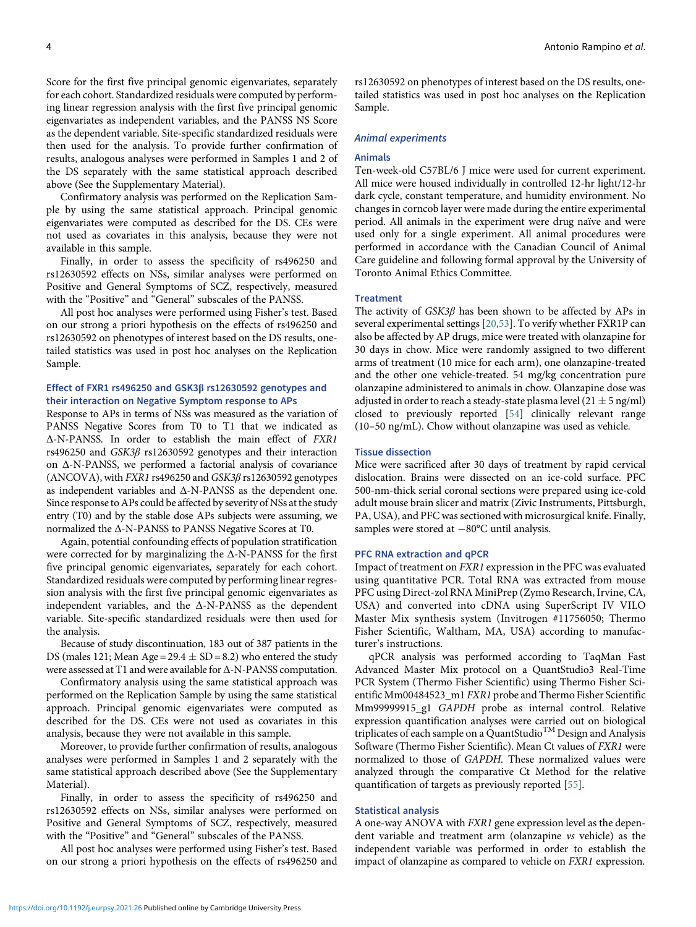Score for the first five principal genomic eigenvariates, separately for each cohort. Standardized residuals were computed by performing linear regression analysis with the first five principal genomic eigenvariates as independent variables, and the PANSS NS Score as the dependent variable. Site-specific standardized residuals were then used for the analysis. To provide further confirmation of results, analogous analyses were performed in Samples 1 and 2 of the DS separately with the same statistical approach described above (See the Supplementary Material).

Confirmatory analysis was performed on the Replication Sample by using the same statistical approach. Principal genomic eigenvariates were computed as described for the DS. CEs were not used as covariates in this analysis, because they were not available in this sample.

Finally, in order to assess the specificity of rs496250 and rs12630592 effects on NSs, similar analyses were performed on Positive and General Symptoms of SCZ, respectively, measured with the "Positive" and "General" subscales of the PANSS.

All post hoc analyses were performed using Fisher's test. Based on our strong a priori hypothesis on the effects of rs496250 and rs12630592 on phenotypes of interest based on the DS results, onetailed statistics was used in post hoc analyses on the Replication Sample.

## Effect of FXR1 rs496250 and GSK3β rs12630592 genotypes and their interaction on Negative Symptom response to APs

Response to APs in terms of NSs was measured as the variation of PANSS Negative Scores from T0 to T1 that we indicated as Δ-N-PANSS. In order to establish the main effect of FXR1 rs496250 and GSK3β rs12630592 genotypes and their interaction on Δ-N-PANSS, we performed a factorial analysis of covariance (ANCOVA), with FXR1 rs496250 and GSK3β rs12630592 genotypes as independent variables and Δ-N-PANSS as the dependent one. Since response to APs could be affected by severity of NSs at the study entry (T0) and by the stable dose APs subjects were assuming, we normalized the Δ-N-PANSS to PANSS Negative Scores at T0.

Again, potential confounding effects of population stratification were corrected for by marginalizing the Δ-N-PANSS for the first five principal genomic eigenvariates, separately for each cohort. Standardized residuals were computed by performing linear regression analysis with the first five principal genomic eigenvariates as independent variables, and the Δ-N-PANSS as the dependent variable. Site-specific standardized residuals were then used for the analysis.

Because of study discontinuation, 183 out of 387 patients in the DS (males 121; Mean Age =  $29.4 \pm SD = 8.2$ ) who entered the study were assessed at T1 and were available for Δ-N-PANSS computation.

Confirmatory analysis using the same statistical approach was performed on the Replication Sample by using the same statistical approach. Principal genomic eigenvariates were computed as described for the DS. CEs were not used as covariates in this analysis, because they were not available in this sample.

Moreover, to provide further confirmation of results, analogous analyses were performed in Samples 1 and 2 separately with the same statistical approach described above (See the Supplementary Material).

Finally, in order to assess the specificity of rs496250 and rs12630592 effects on NSs, similar analyses were performed on Positive and General Symptoms of SCZ, respectively, measured with the "Positive" and "General" subscales of the PANSS.

All post hoc analyses were performed using Fisher's test. Based on our strong a priori hypothesis on the effects of rs496250 and rs12630592 on phenotypes of interest based on the DS results, onetailed statistics was used in post hoc analyses on the Replication Sample.

#### Animal experiments

#### Animals

Ten-week-old C57BL/6 J mice were used for current experiment. All mice were housed individually in controlled 12-hr light/12-hr dark cycle, constant temperature, and humidity environment. No changes in corncob layer were made during the entire experimental period. All animals in the experiment were drug naïve and were used only for a single experiment. All animal procedures were performed in accordance with the Canadian Council of Animal Care guideline and following formal approval by the University of Toronto Animal Ethics Committee.

## **Treatment**

The activity of  $GSK3\beta$  has been shown to be affected by APs in several experimental settings [[20,](#page-7-7)[53\]](#page-7-14). To verify whether FXR1P can also be affected by AP drugs, mice were treated with olanzapine for 30 days in chow. Mice were randomly assigned to two different arms of treatment (10 mice for each arm), one olanzapine-treated and the other one vehicle-treated. 54 mg/kg concentration pure olanzapine administered to animals in chow. Olanzapine dose was adjusted in order to reach a steady-state plasma level  $(21 \pm 5$  ng/ml) closed to previously reported [[54\]](#page-7-26) clinically relevant range (10–50 ng/mL). Chow without olanzapine was used as vehicle.

## Tissue dissection

Mice were sacrificed after 30 days of treatment by rapid cervical dislocation. Brains were dissected on an ice-cold surface. PFC 500-nm-thick serial coronal sections were prepared using ice-cold adult mouse brain slicer and matrix (Zivic Instruments, Pittsburgh, PA, USA), and PFC was sectioned with microsurgical knife. Finally, samples were stored at  $-80^{\circ}$ C until analysis.

#### PFC RNA extraction and qPCR

Impact of treatment on FXR1 expression in the PFC was evaluated using quantitative PCR. Total RNA was extracted from mouse PFC using Direct-zol RNA MiniPrep (Zymo Research, Irvine, CA, USA) and converted into cDNA using SuperScript IV VILO Master Mix synthesis system (Invitrogen #11756050; Thermo Fisher Scientific, Waltham, MA, USA) according to manufacturer's instructions.

qPCR analysis was performed according to TaqMan Fast Advanced Master Mix protocol on a QuantStudio3 Real-Time PCR System (Thermo Fisher Scientific) using Thermo Fisher Scientific Mm00484523\_m1 FXR1 probe and Thermo Fisher Scientific Mm99999915\_g1 GAPDH probe as internal control. Relative expression quantification analyses were carried out on biological triplicates of each sample on a QuantStudio<sup>TM</sup> Design and Analysis Software (Thermo Fisher Scientific). Mean Ct values of FXR1 were normalized to those of GAPDH. These normalized values were analyzed through the comparative Ct Method for the relative quantification of targets as previously reported [[55\]](#page-8-0).

## Statistical analysis

A one-way ANOVA with FXR1 gene expression level as the dependent variable and treatment arm (olanzapine vs vehicle) as the independent variable was performed in order to establish the impact of olanzapine as compared to vehicle on FXR1 expression.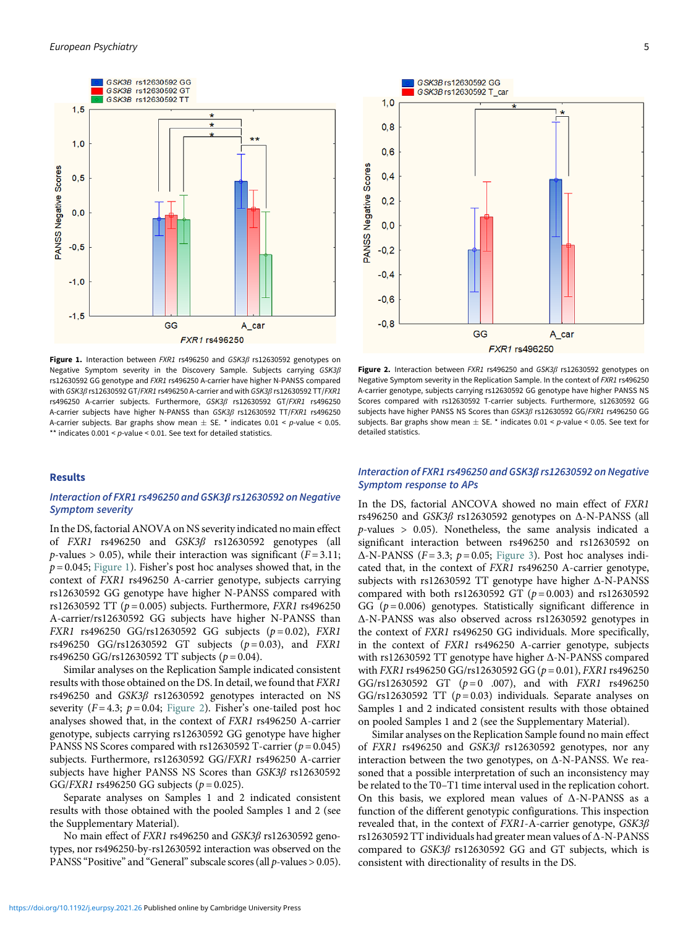<span id="page-4-0"></span>

Figure 1. Interaction between FXR1 rs496250 and GSK3β rs12630592 genotypes on Negative Symptom severity in the Discovery Sample. Subjects carrying GSK3β rs12630592 GG genotype and FXR1 rs496250 A-carrier have higher N-PANSS compared with GSK3β rs12630592 GT/FXR1 rs496250 A-carrier and with GSK3β rs12630592 TT/FXR1 rs496250 A-carrier subjects. Furthermore, GSK3β rs12630592 GT/FXR1 rs496250 A-carrier subjects have higher N-PANSS than GSK3β rs12630592 TT/FXR1 rs496250 A-carrier subjects. Bar graphs show mean  $\pm$  SE. \* indicates 0.01 < p-value < 0.05. \*\* indicates  $0.001 < p$ -value < 0.01. See text for detailed statistics.

## Results

## Interaction of FXR1 rs496250 and GSK3β rs12630592 on Negative Symptom severity

In the DS, factorial ANOVA on NS severity indicated no main effect of FXR1 rs496250 and GSK3β rs12630592 genotypes (all  $p$ -values > 0.05), while their interaction was significant ( $F = 3.11$ ;  $p = 0.045$ ; [Figure 1](#page-4-0)). Fisher's post hoc analyses showed that, in the context of FXR1 rs496250 A-carrier genotype, subjects carrying rs12630592 GG genotype have higher N-PANSS compared with rs12630592 TT ( $p = 0.005$ ) subjects. Furthermore, FXR1 rs496250 A-carrier/rs12630592 GG subjects have higher N-PANSS than FXR1 rs496250 GG/rs12630592 GG subjects  $(p = 0.02)$ , FXR1 rs496250 GG/rs12630592 GT subjects  $(p=0.03)$ , and FXR1 rs496250 GG/rs12630592 TT subjects ( $p = 0.04$ ).

Similar analyses on the Replication Sample indicated consistent results with those obtained on the DS. In detail, we found that FXR1 rs496250 and GSK3β rs12630592 genotypes interacted on NS severity ( $F = 4.3$ ;  $p = 0.04$ ; [Figure 2](#page-4-0)). Fisher's one-tailed post hoc analyses showed that, in the context of FXR1 rs496250 A-carrier genotype, subjects carrying rs12630592 GG genotype have higher PANSS NS Scores compared with rs12630592 T-carrier ( $p = 0.045$ ) subjects. Furthermore, rs12630592 GG/FXR1 rs496250 A-carrier subjects have higher PANSS NS Scores than GSK3β rs12630592 GG/FXR1 rs496250 GG subjects ( $p = 0.025$ ).

Separate analyses on Samples 1 and 2 indicated consistent results with those obtained with the pooled Samples 1 and 2 (see the Supplementary Material).

No main effect of FXR1 rs496250 and GSK3β rs12630592 genotypes, nor rs496250-by-rs12630592 interaction was observed on the PANSS "Positive" and "General" subscale scores (all  $p$ -values > 0.05).



Figure 2. Interaction between FXR1 rs496250 and  $GSK3\beta$  rs12630592 genotypes on Negative Symptom severity in the Replication Sample. In the context of FXR1 rs496250 A-carrier genotype, subjects carrying rs12630592 GG genotype have higher PANSS NS Scores compared with rs12630592 T-carrier subjects. Furthermore, s12630592 GG subjects have higher PANSS NS Scores than GSK3β rs12630592 GG/FXR1 rs496250 GG subjects. Bar graphs show mean  $\pm$  SE.  $^*$  indicates 0.01 < p-value < 0.05. See text for detailed statistics.

## Interaction of FXR1 rs496250 and GSK3β rs12630592 on Negative Symptom response to APs

In the DS, factorial ANCOVA showed no main effect of FXR1 rs496250 and GSK3β rs12630592 genotypes on Δ-N-PANSS (all  $p$ -values > 0.05). Nonetheless, the same analysis indicated a significant interaction between rs496250 and rs12630592 on  $\Delta$ -N-PANSS (F=3.3; p=0.05; [Figure 3\)](#page-5-0). Post hoc analyses indicated that, in the context of FXR1 rs496250 A-carrier genotype, subjects with rs12630592 TT genotype have higher Δ-N-PANSS compared with both rs12630592 GT ( $p = 0.003$ ) and rs12630592 GG ( $p = 0.006$ ) genotypes. Statistically significant difference in Δ-N-PANSS was also observed across rs12630592 genotypes in the context of FXR1 rs496250 GG individuals. More specifically, in the context of FXR1 rs496250 A-carrier genotype, subjects with rs12630592 TT genotype have higher Δ-N-PANSS compared with *FXR1* rs496250 GG/rs12630592 GG ( $p = 0.01$ ), *FXR1* rs496250 GG/rs12630592 GT  $(p=0.007)$ , and with *FXR1* rs496250 GG/rs12630592 TT  $(p=0.03)$  individuals. Separate analyses on Samples 1 and 2 indicated consistent results with those obtained on pooled Samples 1 and 2 (see the Supplementary Material).

Similar analyses on the Replication Sample found no main effect of FXR1 rs496250 and GSK3β rs12630592 genotypes, nor any interaction between the two genotypes, on  $\Delta$ -N-PANSS. We reasoned that a possible interpretation of such an inconsistency may be related to the T0–T1 time interval used in the replication cohort. On this basis, we explored mean values of Δ-N-PANSS as a function of the different genotypic configurations. This inspection revealed that, in the context of FXR1-A-carrier genotype, GSK3β rs12630592 TT individuals had greater mean values of Δ-N-PANSS compared to GSK3β rs12630592 GG and GT subjects, which is consistent with directionality of results in the DS.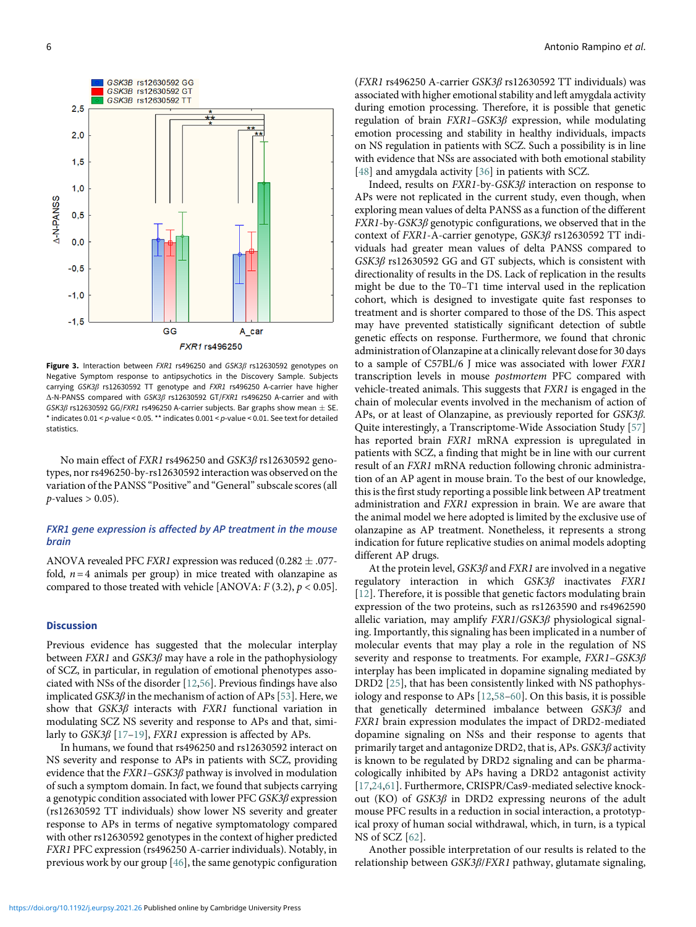<span id="page-5-0"></span>

Figure 3. Interaction between FXR1 rs496250 and GSK3B rs12630592 genotypes on Negative Symptom response to antipsychotics in the Discovery Sample. Subjects carrying GSK3β rs12630592 TT genotype and FXR1 rs496250 A-carrier have higher Δ-N-PANSS compared with GSK3β rs12630592 GT/FXR1 rs496250 A-carrier and with GSK3 $\beta$  rs12630592 GG/FXR1 rs496250 A-carrier subjects. Bar graphs show mean  $\pm$  SE.  $*$  indicates 0.01 < p-value < 0.05.  $**$  indicates 0.001 < p-value < 0.01. See text for detailed statistics.

No main effect of FXR1 rs496250 and GSK3β rs12630592 genotypes, nor rs496250-by-rs12630592 interaction was observed on the variation of the PANSS "Positive" and "General"subscale scores (all  $p$ -values > 0.05).

## FXR1 gene expression is affected by AP treatment in the mouse brain

ANOVA revealed PFC *FXR1* expression was reduced  $(0.282 \pm .077$ fold,  $n=4$  animals per group) in mice treated with olanzapine as compared to those treated with vehicle [ANOVA:  $F(3.2)$ ,  $p < 0.05$ ].

## **Discussion**

Previous evidence has suggested that the molecular interplay between  $FXR1$  and  $GSK3\beta$  may have a role in the pathophysiology of SCZ, in particular, in regulation of emotional phenotypes associated with NSs of the disorder [[12,](#page-7-0)[56\]](#page-8-1). Previous findings have also implicated  $GSK3\beta$  in the mechanism of action of APs [\[53](#page-7-14)]. Here, we show that GSK3β interacts with FXR1 functional variation in modulating SCZ NS severity and response to APs and that, similarly to  $GSK3\beta$  [[17](#page-7-5)–[19](#page-7-6)], FXR1 expression is affected by APs.

In humans, we found that rs496250 and rs12630592 interact on NS severity and response to APs in patients with SCZ, providing evidence that the  $FXR1-GSK3\beta$  pathway is involved in modulation of such a symptom domain. In fact, we found that subjects carrying a genotypic condition associated with lower PFC  $GSK3\beta$  expression (rs12630592 TT individuals) show lower NS severity and greater response to APs in terms of negative symptomatology compared with other rs12630592 genotypes in the context of higher predicted FXR1 PFC expression (rs496250 A-carrier individuals). Notably, in previous work by our group [\[46](#page-7-10)], the same genotypic configuration (FXR1 rs496250 A-carrier GSK3β rs12630592 TT individuals) was associated with higher emotional stability and left amygdala activity during emotion processing. Therefore, it is possible that genetic regulation of brain FXR1–GSK3β expression, while modulating emotion processing and stability in healthy individuals, impacts on NS regulation in patients with SCZ. Such a possibility is in line with evidence that NSs are associated with both emotional stability [[48](#page-7-21)] and amygdala activity [\[36](#page-7-3)] in patients with SCZ.

Indeed, results on FXR1-by-GSK3β interaction on response to APs were not replicated in the current study, even though, when exploring mean values of delta PANSS as a function of the different  $FXR1$ -by- $GSK3\beta$  genotypic configurations, we observed that in the context of FXR1-A-carrier genotype, GSK3β rs12630592 TT individuals had greater mean values of delta PANSS compared to GSK3β rs12630592 GG and GT subjects, which is consistent with directionality of results in the DS. Lack of replication in the results might be due to the T0–T1 time interval used in the replication cohort, which is designed to investigate quite fast responses to treatment and is shorter compared to those of the DS. This aspect may have prevented statistically significant detection of subtle genetic effects on response. Furthermore, we found that chronic administration of Olanzapine at a clinically relevant dose for 30 days to a sample of C57BL/6 J mice was associated with lower FXR1 transcription levels in mouse postmortem PFC compared with vehicle-treated animals. This suggests that FXR1 is engaged in the chain of molecular events involved in the mechanism of action of APs, or at least of Olanzapine, as previously reported for GSK3β. Quite interestingly, a Transcriptome-Wide Association Study [\[57\]](#page-8-2) has reported brain FXR1 mRNA expression is upregulated in patients with SCZ, a finding that might be in line with our current result of an FXR1 mRNA reduction following chronic administration of an AP agent in mouse brain. To the best of our knowledge, this is the first study reporting a possible link between AP treatment administration and FXR1 expression in brain. We are aware that the animal model we here adopted is limited by the exclusive use of olanzapine as AP treatment. Nonetheless, it represents a strong indication for future replicative studies on animal models adopting different AP drugs.

At the protein level,  $GSK3\beta$  and  $FXR1$  are involved in a negative regulatory interaction in which GSK3β inactivates FXR1 [[12](#page-7-0)]. Therefore, it is possible that genetic factors modulating brain expression of the two proteins, such as rs1263590 and rs4962590 allelic variation, may amplify FXR1/GSK3β physiological signaling. Importantly, this signaling has been implicated in a number of molecular events that may play a role in the regulation of NS severity and response to treatments. For example, FXR1–GSK3β interplay has been implicated in dopamine signaling mediated by DRD2 [[25\]](#page-7-10), that has been consistently linked with NS pathophysiology and response to APs [[12,](#page-7-0)[58](#page-8-3)–[60](#page-8-4)]. On this basis, it is possible that genetically determined imbalance between GSK3β and FXR1 brain expression modulates the impact of DRD2-mediated dopamine signaling on NSs and their response to agents that primarily target and antagonize DRD2, that is, APs. GSK3β activity is known to be regulated by DRD2 signaling and can be pharmacologically inhibited by APs having a DRD2 antagonist activity [[17](#page-7-5)[,24](#page-7-27),[61\]](#page-8-5). Furthermore, CRISPR/Cas9-mediated selective knockout (KO) of  $GSK3\beta$  in DRD2 expressing neurons of the adult mouse PFC results in a reduction in social interaction, a prototypical proxy of human social withdrawal, which, in turn, is a typical NS of SCZ [[62](#page-8-6)].

Another possible interpretation of our results is related to the relationship between GSK3β/FXR1 pathway, glutamate signaling,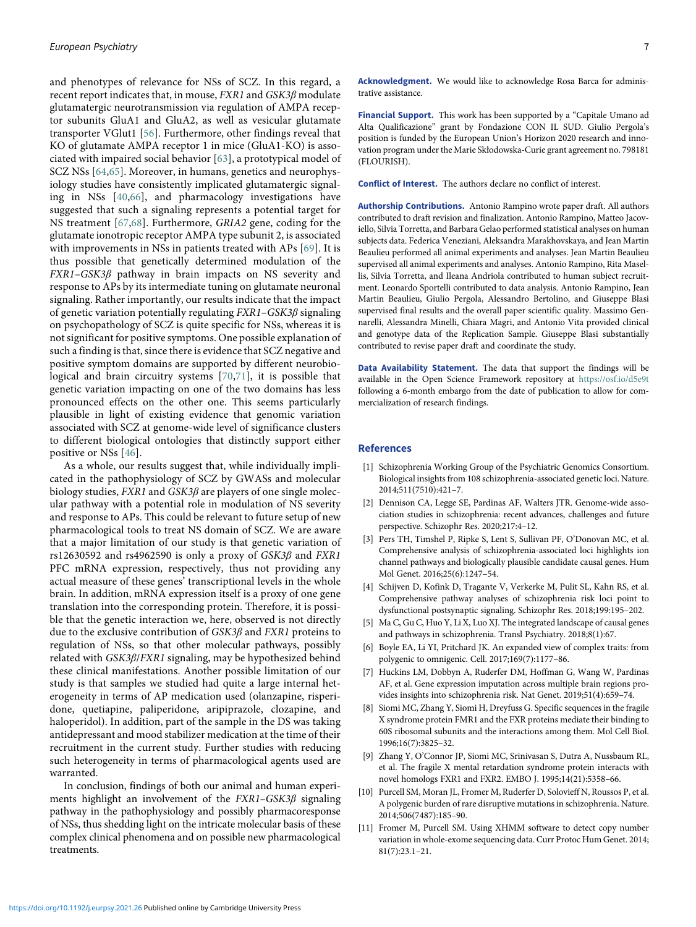and phenotypes of relevance for NSs of SCZ. In this regard, a recent report indicates that, in mouse,  $FXR1$  and  $GSK3\beta$  modulate glutamatergic neurotransmission via regulation of AMPA receptor subunits GluA1 and GluA2, as well as vesicular glutamate transporter VGlut1 [[56](#page-8-1)]. Furthermore, other findings reveal that KO of glutamate AMPA receptor 1 in mice (GluA1-KO) is associated with impaired social behavior [[63](#page-8-7)], a prototypical model of SCZ NSs [[64](#page-8-8)[,65\]](#page-8-9). Moreover, in humans, genetics and neurophysiology studies have consistently implicated glutamatergic signaling in NSs [[40](#page-7-18)[,66\]](#page-8-2), and pharmacology investigations have suggested that such a signaling represents a potential target for NS treatment [[67](#page-8-3)[,68\]](#page-8-10). Furthermore, GRIA2 gene, coding for the glutamate ionotropic receptor AMPA type subunit 2, is associated with improvements in NSs in patients treated with APs [[69](#page-8-4)]. It is thus possible that genetically determined modulation of the FXR1–GSK3β pathway in brain impacts on NS severity and response to APs by its intermediate tuning on glutamate neuronal signaling. Rather importantly, our results indicate that the impact of genetic variation potentially regulating FXR1–GSK3β signaling on psychopathology of SCZ is quite specific for NSs, whereas it is not significant for positive symptoms. One possible explanation of such a finding is that, since there is evidence that SCZ negative and positive symptom domains are supported by different neurobiological and brain circuitry systems [\[70,](#page-8-5)[71\]](#page-8-11), it is possible that genetic variation impacting on one of the two domains has less pronounced effects on the other one. This seems particularly plausible in light of existing evidence that genomic variation associated with SCZ at genome-wide level of significance clusters to different biological ontologies that distinctly support either positive or NSs [[46\]](#page-7-10).

<span id="page-6-3"></span><span id="page-6-2"></span><span id="page-6-1"></span><span id="page-6-0"></span>As a whole, our results suggest that, while individually implicated in the pathophysiology of SCZ by GWASs and molecular biology studies, FXR1 and GSK3β are players of one single molecular pathway with a potential role in modulation of NS severity and response to APs. This could be relevant to future setup of new pharmacological tools to treat NS domain of SCZ. We are aware that a major limitation of our study is that genetic variation of rs12630592 and rs4962590 is only a proxy of  $GSK3\beta$  and  $FXR1$ PFC mRNA expression, respectively, thus not providing any actual measure of these genes' transcriptional levels in the whole brain. In addition, mRNA expression itself is a proxy of one gene translation into the corresponding protein. Therefore, it is possible that the genetic interaction we, here, observed is not directly due to the exclusive contribution of GSK3β and FXR1 proteins to regulation of NSs, so that other molecular pathways, possibly related with GSK3β/FXR1 signaling, may be hypothesized behind these clinical manifestations. Another possible limitation of our study is that samples we studied had quite a large internal heterogeneity in terms of AP medication used (olanzapine, risperidone, quetiapine, paliperidone, aripiprazole, clozapine, and haloperidol). In addition, part of the sample in the DS was taking antidepressant and mood stabilizer medication at the time of their recruitment in the current study. Further studies with reducing such heterogeneity in terms of pharmacological agents used are warranted.

<span id="page-6-9"></span><span id="page-6-8"></span><span id="page-6-7"></span><span id="page-6-6"></span><span id="page-6-5"></span><span id="page-6-4"></span>In conclusion, findings of both our animal and human experiments highlight an involvement of the FXR1–GSK3β signaling pathway in the pathophysiology and possibly pharmacoresponse of NSs, thus shedding light on the intricate molecular basis of these complex clinical phenomena and on possible new pharmacological treatments.

Acknowledgment. We would like to acknowledge Rosa Barca for administrative assistance.

Financial Support. This work has been supported by a "Capitale Umano ad Alta Qualificazione" grant by Fondazione CON IL SUD. Giulio Pergola's position is funded by the European Union's Horizon 2020 research and innovation program under the Marie Skłodowska-Curie grant agreement no. 798181 (FLOURISH).

Conflict of Interest. The authors declare no conflict of interest.

Authorship Contributions. Antonio Rampino wrote paper draft. All authors contributed to draft revision and finalization. Antonio Rampino, Matteo Jacoviello, Silvia Torretta, and Barbara Gelao performed statistical analyses on human subjects data. Federica Veneziani, Aleksandra Marakhovskaya, and Jean Martin Beaulieu performed all animal experiments and analyses. Jean Martin Beaulieu supervised all animal experiments and analyses. Antonio Rampino, Rita Masellis, Silvia Torretta, and Ileana Andriola contributed to human subject recruitment. Leonardo Sportelli contributed to data analysis. Antonio Rampino, Jean Martin Beaulieu, Giulio Pergola, Alessandro Bertolino, and Giuseppe Blasi supervised final results and the overall paper scientific quality. Massimo Gennarelli, Alessandra Minelli, Chiara Magri, and Antonio Vita provided clinical and genotype data of the Replication Sample. Giuseppe Blasi substantially contributed to revise paper draft and coordinate the study.

Data Availability Statement. The data that support the findings will be available in the Open Science Framework repository at [https://osf.io/d5e9t](https://osf.io/d5e9t/) following a 6-month embargo from the date of publication to allow for commercialization of research findings.

#### References

- [1] Schizophrenia Working Group of the Psychiatric Genomics Consortium. Biological insights from 108 schizophrenia-associated genetic loci. Nature. 2014;511(7510):421–7.
- [2] Dennison CA, Legge SE, Pardinas AF, Walters JTR. Genome-wide association studies in schizophrenia: recent advances, challenges and future perspective. Schizophr Res. 2020;217:4–12.
- [3] Pers TH, Timshel P, Ripke S, Lent S, Sullivan PF, O'Donovan MC, et al. Comprehensive analysis of schizophrenia-associated loci highlights ion channel pathways and biologically plausible candidate causal genes. Hum Mol Genet. 2016;25(6):1247–54.
- [4] Schijven D, Kofink D, Tragante V, Verkerke M, Pulit SL, Kahn RS, et al. Comprehensive pathway analyses of schizophrenia risk loci point to dysfunctional postsynaptic signaling. Schizophr Res. 2018;199:195–202.
- [5] Ma C, Gu C, Huo Y, Li X, Luo XJ. The integrated landscape of causal genes and pathways in schizophrenia. Transl Psychiatry. 2018;8(1):67.
- [6] Boyle EA, Li YI, Pritchard JK. An expanded view of complex traits: from polygenic to omnigenic. Cell. 2017;169(7):1177–86.
- [7] Huckins LM, Dobbyn A, Ruderfer DM, Hoffman G, Wang W, Pardinas AF, et al. Gene expression imputation across multiple brain regions provides insights into schizophrenia risk. Nat Genet. 2019;51(4):659–74.
- [8] Siomi MC, Zhang Y, Siomi H, Dreyfuss G. Specific sequences in the fragile X syndrome protein FMR1 and the FXR proteins mediate their binding to 60S ribosomal subunits and the interactions among them. Mol Cell Biol. 1996;16(7):3825–32.
- [9] Zhang Y, O'Connor JP, Siomi MC, Srinivasan S, Dutra A, Nussbaum RL, et al. The fragile X mental retardation syndrome protein interacts with novel homologs FXR1 and FXR2. EMBO J. 1995;14(21):5358–66.
- [10] Purcell SM, Moran JL, Fromer M, Ruderfer D, Solovieff N, Roussos P, et al. A polygenic burden of rare disruptive mutations in schizophrenia. Nature. 2014;506(7487):185–90.
- [11] Fromer M, Purcell SM. Using XHMM software to detect copy number variation in whole-exome sequencing data. Curr Protoc Hum Genet. 2014; 81(7):23.1–21.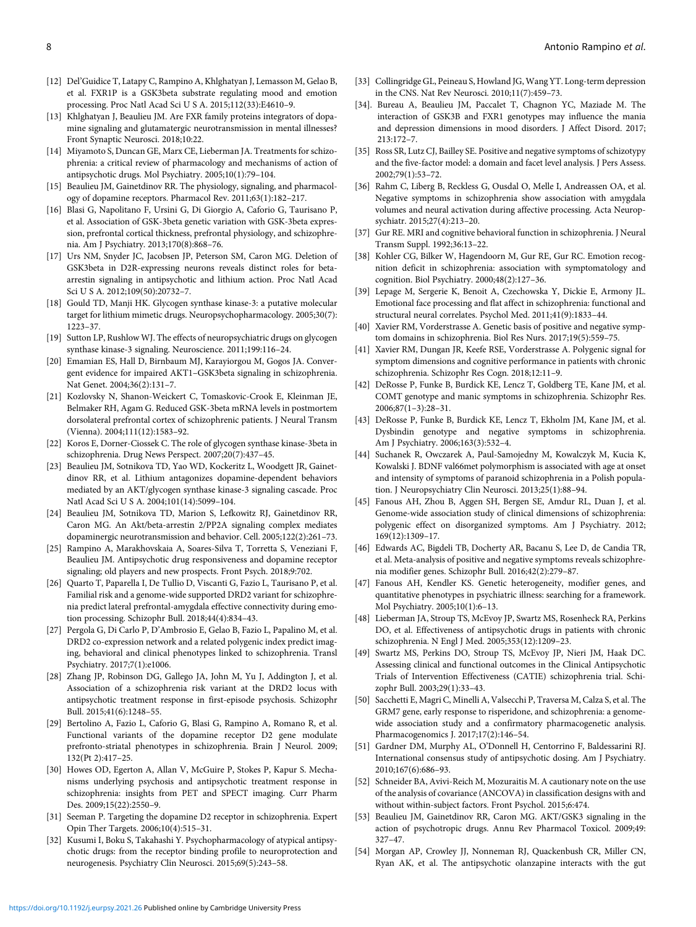- <span id="page-7-0"></span>[12] Del'Guidice T, Latapy C, Rampino A, Khlghatyan J, Lemasson M, Gelao B, et al. FXR1P is a GSK3beta substrate regulating mood and emotion processing. Proc Natl Acad Sci U S A. 2015;112(33):E4610–9.
- <span id="page-7-16"></span><span id="page-7-1"></span>[13] Khlghatyan J, Beaulieu JM. Are FXR family proteins integrators of dopamine signaling and glutamatergic neurotransmission in mental illnesses? Front Synaptic Neurosci. 2018;10:22.
- <span id="page-7-2"></span>[14] Miyamoto S, Duncan GE, Marx CE, Lieberman JA. Treatments for schizophrenia: a critical review of pharmacology and mechanisms of action of antipsychotic drugs. Mol Psychiatry. 2005;10(1):79–104.
- <span id="page-7-3"></span>[15] Beaulieu JM, Gainetdinov RR. The physiology, signaling, and pharmacology of dopamine receptors. Pharmacol Rev. 2011;63(1):182–217.
- <span id="page-7-4"></span>[16] Blasi G, Napolitano F, Ursini G, Di Giorgio A, Caforio G, Taurisano P, et al. Association of GSK-3beta genetic variation with GSK-3beta expression, prefrontal cortical thickness, prefrontal physiology, and schizophrenia. Am J Psychiatry. 2013;170(8):868–76.
- <span id="page-7-5"></span>[17] Urs NM, Snyder JC, Jacobsen JP, Peterson SM, Caron MG. Deletion of GSK3beta in D2R-expressing neurons reveals distinct roles for betaarrestin signaling in antipsychotic and lithium action. Proc Natl Acad Sci U S A. 2012;109(50):20732–7.
- <span id="page-7-18"></span><span id="page-7-17"></span>[18] Gould TD, Manji HK. Glycogen synthase kinase-3: a putative molecular target for lithium mimetic drugs. Neuropsychopharmacology. 2005;30(7): 1223–37.
- <span id="page-7-19"></span><span id="page-7-6"></span>[19] Sutton LP, Rushlow WJ. The effects of neuropsychiatric drugs on glycogen synthase kinase-3 signaling. Neuroscience. 2011;199:116–24.
- <span id="page-7-20"></span><span id="page-7-7"></span>[20] Emamian ES, Hall D, Birnbaum MJ, Karayiorgou M, Gogos JA. Convergent evidence for impaired AKT1–GSK3beta signaling in schizophrenia. Nat Genet. 2004;36(2):131–7.
- [21] Kozlovsky N, Shanon-Weickert C, Tomaskovic-Crook E, Kleinman JE, Belmaker RH, Agam G. Reduced GSK-3beta mRNA levels in postmortem dorsolateral prefrontal cortex of schizophrenic patients. J Neural Transm (Vienna). 2004;111(12):1583–92.
- <span id="page-7-8"></span>[22] Koros E, Dorner-Ciossek C. The role of glycogen synthase kinase-3beta in schizophrenia. Drug News Perspect. 2007;20(7):437–45.
- <span id="page-7-9"></span>[23] Beaulieu JM, Sotnikova TD, Yao WD, Kockeritz L, Woodgett JR, Gainetdinov RR, et al. Lithium antagonizes dopamine-dependent behaviors mediated by an AKT/glycogen synthase kinase-3 signaling cascade. Proc Natl Acad Sci U S A. 2004;101(14):5099–104.
- <span id="page-7-27"></span>[24] Beaulieu JM, Sotnikova TD, Marion S, Lefkowitz RJ, Gainetdinov RR, Caron MG. An Akt/beta-arrestin 2/PP2A signaling complex mediates dopaminergic neurotransmission and behavior. Cell. 2005;122(2):261–73.
- <span id="page-7-10"></span>[25] Rampino A, Marakhovskaia A, Soares-Silva T, Torretta S, Veneziani F, Beaulieu JM. Antipsychotic drug responsiveness and dopamine receptor signaling; old players and new prospects. Front Psych. 2018;9:702.
- <span id="page-7-11"></span>[26] Quarto T, Paparella I, De Tullio D, Viscanti G, Fazio L, Taurisano P, et al. Familial risk and a genome-wide supported DRD2 variant for schizophrenia predict lateral prefrontal-amygdala effective connectivity during emotion processing. Schizophr Bull. 2018;44(4):834–43.
- <span id="page-7-22"></span><span id="page-7-21"></span>[27] Pergola G, Di Carlo P, D'Ambrosio E, Gelao B, Fazio L, Papalino M, et al. DRD2 co-expression network and a related polygenic index predict imaging, behavioral and clinical phenotypes linked to schizophrenia. Transl Psychiatry. 2017;7(1):e1006.
- <span id="page-7-23"></span>[28] Zhang JP, Robinson DG, Gallego JA, John M, Yu J, Addington J, et al. Association of a schizophrenia risk variant at the DRD2 locus with antipsychotic treatment response in first-episode psychosis. Schizophr Bull. 2015;41(6):1248–55.
- <span id="page-7-24"></span><span id="page-7-12"></span>[29] Bertolino A, Fazio L, Caforio G, Blasi G, Rampino A, Romano R, et al. Functional variants of the dopamine receptor D2 gene modulate prefronto-striatal phenotypes in schizophrenia. Brain J Neurol. 2009; 132(Pt 2):417–25.
- <span id="page-7-25"></span><span id="page-7-13"></span>[30] Howes OD, Egerton A, Allan V, McGuire P, Stokes P, Kapur S. Mechanisms underlying psychosis and antipsychotic treatment response in schizophrenia: insights from PET and SPECT imaging. Curr Pharm Des. 2009;15(22):2550–9.
- <span id="page-7-14"></span>[31] Seeman P. Targeting the dopamine D2 receptor in schizophrenia. Expert Opin Ther Targets. 2006;10(4):515–31.
- <span id="page-7-26"></span><span id="page-7-15"></span>[32] Kusumi I, Boku S, Takahashi Y. Psychopharmacology of atypical antipsychotic drugs: from the receptor binding profile to neuroprotection and neurogenesis. Psychiatry Clin Neurosci. 2015;69(5):243–58.
- [33] Collingridge GL, Peineau S, Howland JG, Wang YT. Long-term depression in the CNS. Nat Rev Neurosci. 2010;11(7):459–73.
- [34]. Bureau A, Beaulieu JM, Paccalet T, Chagnon YC, Maziade M. The interaction of GSK3B and FXR1 genotypes may influence the mania and depression dimensions in mood disorders. J Affect Disord. 2017; 213:172–7.
- [35] Ross SR, Lutz CJ, Bailley SE. Positive and negative symptoms of schizotypy and the five-factor model: a domain and facet level analysis. J Pers Assess. 2002;79(1):53–72.
- [36] Rahm C, Liberg B, Reckless G, Ousdal O, Melle I, Andreassen OA, et al. Negative symptoms in schizophrenia show association with amygdala volumes and neural activation during affective processing. Acta Neuropsychiatr. 2015;27(4):213–20.
- [37] Gur RE. MRI and cognitive behavioral function in schizophrenia. J Neural Transm Suppl. 1992;36:13–22.
- [38] Kohler CG, Bilker W, Hagendoorn M, Gur RE, Gur RC. Emotion recognition deficit in schizophrenia: association with symptomatology and cognition. Biol Psychiatry. 2000;48(2):127–36.
- [39] Lepage M, Sergerie K, Benoit A, Czechowska Y, Dickie E, Armony JL. Emotional face processing and flat affect in schizophrenia: functional and structural neural correlates. Psychol Med. 2011;41(9):1833–44.
- [40] Xavier RM, Vorderstrasse A. Genetic basis of positive and negative symptom domains in schizophrenia. Biol Res Nurs. 2017;19(5):559–75.
- [41] Xavier RM, Dungan JR, Keefe RSE, Vorderstrasse A. Polygenic signal for symptom dimensions and cognitive performance in patients with chronic schizophrenia. Schizophr Res Cogn. 2018;12:11–9.
- [42] DeRosse P, Funke B, Burdick KE, Lencz T, Goldberg TE, Kane JM, et al. COMT genotype and manic symptoms in schizophrenia. Schizophr Res. 2006;87(1–3):28–31.
- [43] DeRosse P, Funke B, Burdick KE, Lencz T, Ekholm JM, Kane JM, et al. Dysbindin genotype and negative symptoms in schizophrenia. Am J Psychiatry. 2006;163(3):532–4.
- [44] Suchanek R, Owczarek A, Paul-Samojedny M, Kowalczyk M, Kucia K, Kowalski J. BDNF val66met polymorphism is associated with age at onset and intensity of symptoms of paranoid schizophrenia in a Polish population. J Neuropsychiatry Clin Neurosci. 2013;25(1):88–94.
- [45] Fanous AH, Zhou B, Aggen SH, Bergen SE, Amdur RL, Duan J, et al. Genome-wide association study of clinical dimensions of schizophrenia: polygenic effect on disorganized symptoms. Am J Psychiatry. 2012; 169(12):1309–17.
- [46] Edwards AC, Bigdeli TB, Docherty AR, Bacanu S, Lee D, de Candia TR, et al. Meta-analysis of positive and negative symptoms reveals schizophrenia modifier genes. Schizophr Bull. 2016;42(2):279–87.
- [47] Fanous AH, Kendler KS. Genetic heterogeneity, modifier genes, and quantitative phenotypes in psychiatric illness: searching for a framework. Mol Psychiatry. 2005;10(1):6–13.
- [48] Lieberman JA, Stroup TS, McEvoy JP, Swartz MS, Rosenheck RA, Perkins DO, et al. Effectiveness of antipsychotic drugs in patients with chronic schizophrenia. N Engl J Med. 2005;353(12):1209–23.
- [49] Swartz MS, Perkins DO, Stroup TS, McEvoy JP, Nieri JM, Haak DC. Assessing clinical and functional outcomes in the Clinical Antipsychotic Trials of Intervention Effectiveness (CATIE) schizophrenia trial. Schizophr Bull. 2003;29(1):33–43.
- [50] Sacchetti E, Magri C, Minelli A, Valsecchi P, Traversa M, Calza S, et al. The GRM7 gene, early response to risperidone, and schizophrenia: a genomewide association study and a confirmatory pharmacogenetic analysis. Pharmacogenomics J. 2017;17(2):146–54.
- [51] Gardner DM, Murphy AL, O'Donnell H, Centorrino F, Baldessarini RJ. International consensus study of antipsychotic dosing. Am J Psychiatry. 2010;167(6):686–93.
- [52] Schneider BA, Avivi-Reich M, Mozuraitis M. A cautionary note on the use of the analysis of covariance (ANCOVA) in classification designs with and without within-subject factors. Front Psychol. 2015;6:474.
- [53] Beaulieu JM, Gainetdinov RR, Caron MG. AKT/GSK3 signaling in the action of psychotropic drugs. Annu Rev Pharmacol Toxicol. 2009;49: 327–47.
- [54] Morgan AP, Crowley JJ, Nonneman RJ, Quackenbush CR, Miller CN, Ryan AK, et al. The antipsychotic olanzapine interacts with the gut